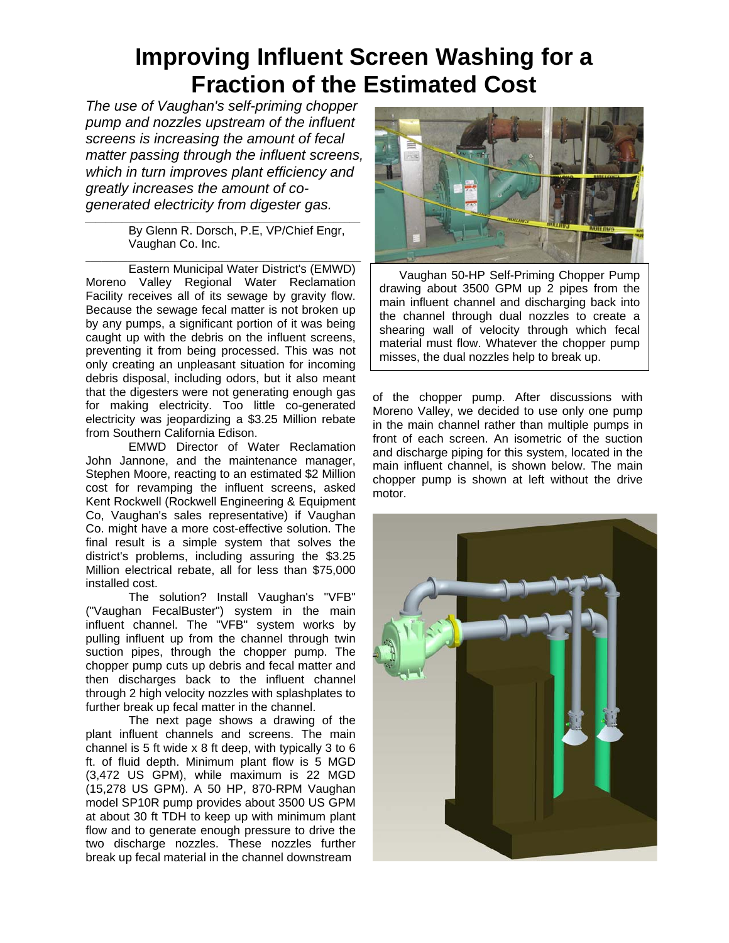## **Improving Influent Screen Washing for a Fraction of the Estimated Cost**

*The use of Vaughan's self-priming chopper pump and nozzles upstream of the influent screens is increasing the amount of fecal matter passing through the influent screens, which in turn improves plant efficiency and greatly increases the amount of cogenerated electricity from digester gas.* 

*\_\_\_\_\_\_\_\_\_\_\_\_\_\_\_\_\_\_\_\_\_\_\_\_\_\_\_\_\_\_\_\_\_\_\_\_\_\_\_\_\_\_\_\_\_\_\_\_\_\_\_\_*  By Glenn R. Dorsch, P.E, VP/Chief Engr, Vaughan Co. Inc.

Eastern Municipal Water District's (EMWD) Moreno Valley Regional Water Reclamation Facility receives all of its sewage by gravity flow. Because the sewage fecal matter is not broken up by any pumps, a significant portion of it was being caught up with the debris on the influent screens, preventing it from being processed. This was not only creating an unpleasant situation for incoming debris disposal, including odors, but it also meant that the digesters were not generating enough gas for making electricity. Too little co-generated electricity was jeopardizing a \$3.25 Million rebate from Southern California Edison.

EMWD Director of Water Reclamation John Jannone, and the maintenance manager, Stephen Moore, reacting to an estimated \$2 Million cost for revamping the influent screens, asked Kent Rockwell (Rockwell Engineering & Equipment Co, Vaughan's sales representative) if Vaughan Co. might have a more cost-effective solution. The final result is a simple system that solves the district's problems, including assuring the \$3.25 Million electrical rebate, all for less than \$75,000 installed cost.

The solution? Install Vaughan's "VFB" ("Vaughan FecalBuster") system in the main influent channel. The "VFB" system works by pulling influent up from the channel through twin suction pipes, through the chopper pump. The chopper pump cuts up debris and fecal matter and then discharges back to the influent channel through 2 high velocity nozzles with splashplates to further break up fecal matter in the channel.

The next page shows a drawing of the plant influent channels and screens. The main channel is 5 ft wide x 8 ft deep, with typically 3 to 6 ft. of fluid depth. Minimum plant flow is 5 MGD (3,472 US GPM), while maximum is 22 MGD (15,278 US GPM). A 50 HP, 870-RPM Vaughan model SP10R pump provides about 3500 US GPM at about 30 ft TDH to keep up with minimum plant flow and to generate enough pressure to drive the two discharge nozzles. These nozzles further break up fecal material in the channel downstream



 Vaughan 50-HP Self-Priming Chopper Pump drawing about 3500 GPM up 2 pipes from the main influent channel and discharging back into the channel through dual nozzles to create a shearing wall of velocity through which fecal material must flow. Whatever the chopper pump misses, the dual nozzles help to break up.

of the chopper pump. After discussions with Moreno Valley, we decided to use only one pump in the main channel rather than multiple pumps in front of each screen. An isometric of the suction and discharge piping for this system, located in the main influent channel, is shown below. The main chopper pump is shown at left without the drive motor.

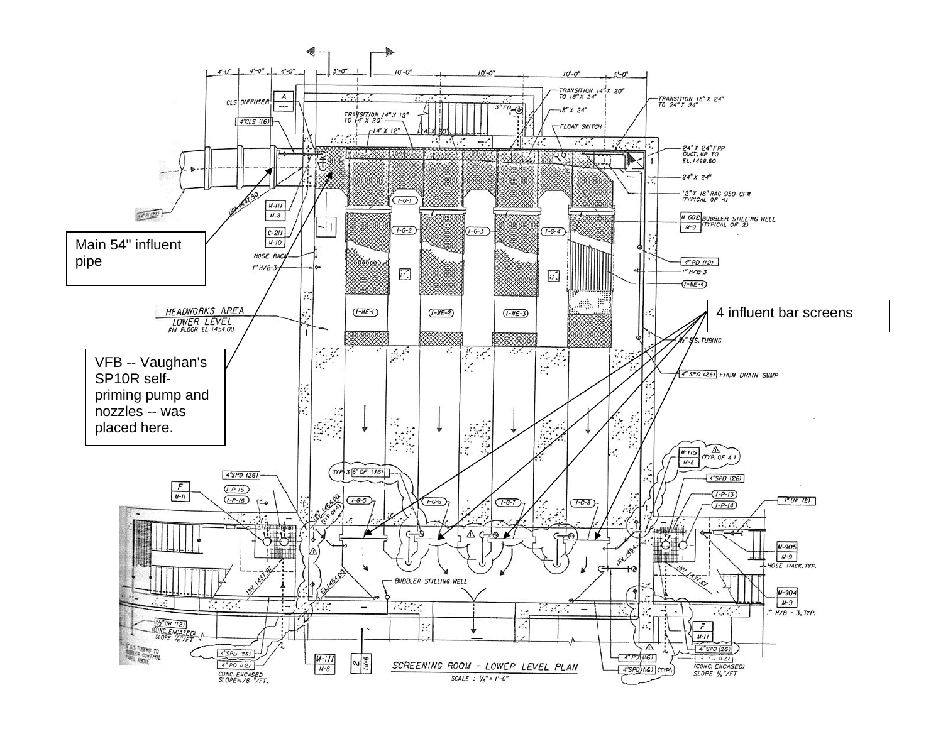